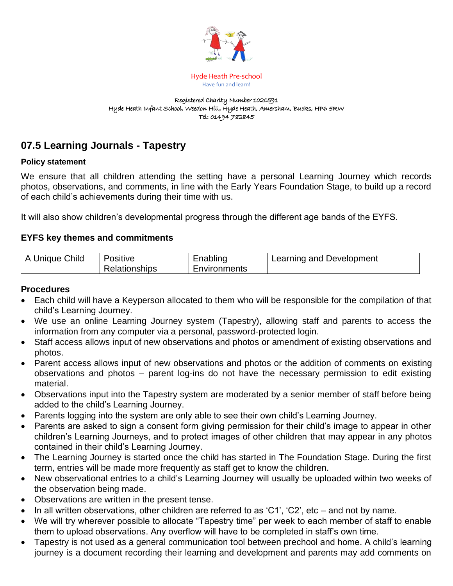

Hyde Heath Pre-school Have fun and learn!

#### Registered Charity Number 1020591 Hyde Heath Infant School, Weedon Hill, Hyde Heath, Amersham, Bucks, HP6 5RW Tel: 01494 782845

# **07.5 Learning Journals - Tapestry**

#### **Policy statement**

We ensure that all children attending the setting have a personal Learning Journey which records photos, observations, and comments, in line with the Early Years Foundation Stage, to build up a record of each child's achievements during their time with us.

It will also show children's developmental progress through the different age bands of the EYFS.

### **EYFS key themes and commitments**

| A Unique Child | Positive      | Enabling     | Learning and Development |
|----------------|---------------|--------------|--------------------------|
|                | Relationships | Environments |                          |

#### **Procedures**

- Each child will have a Keyperson allocated to them who will be responsible for the compilation of that child's Learning Journey.
- We use an online Learning Journey system (Tapestry), allowing staff and parents to access the information from any computer via a personal, password-protected login.
- Staff access allows input of new observations and photos or amendment of existing observations and photos.
- Parent access allows input of new observations and photos or the addition of comments on existing observations and photos – parent log-ins do not have the necessary permission to edit existing material.
- Observations input into the Tapestry system are moderated by a senior member of staff before being added to the child's Learning Journey.
- Parents logging into the system are only able to see their own child's Learning Journey.
- Parents are asked to sign a consent form giving permission for their child's image to appear in other children's Learning Journeys, and to protect images of other children that may appear in any photos contained in their child's Learning Journey.
- The Learning Journey is started once the child has started in The Foundation Stage. During the first term, entries will be made more frequently as staff get to know the children.
- New observational entries to a child's Learning Journey will usually be uploaded within two weeks of the observation being made.
- Observations are written in the present tense.
- In all written observations, other children are referred to as 'C1', 'C2', etc and not by name.
- We will try wherever possible to allocate "Tapestry time" per week to each member of staff to enable them to upload observations. Any overflow will have to be completed in staff's own time.
- Tapestry is not used as a general communication tool between prechool and home. A child's learning journey is a document recording their learning and development and parents may add comments on